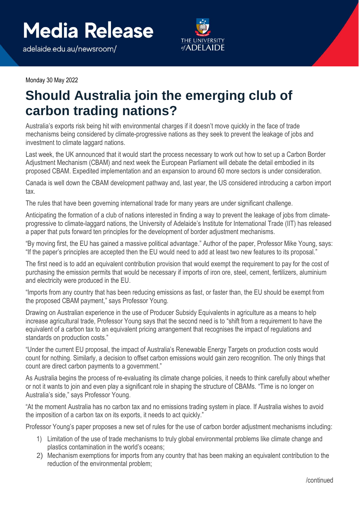adelaide.edu.au/newsroom/



Monday 30 May 2022

## **Should Australia join the emerging club of carbon trading nations?**

Australia's exports risk being hit with environmental charges if it doesn't move quickly in the face of trade mechanisms being considered by climate-progressive nations as they seek to prevent the leakage of jobs and investment to climate laggard nations.

Last week, the UK announced that it would start the process necessary to work out how to set up a Carbon Border Adjustment Mechanism (CBAM) and next week the European Parliament will debate the detail embodied in its proposed CBAM. Expedited implementation and an expansion to around 60 more sectors is under consideration.

Canada is well down the CBAM development pathway and, last year, the US considered introducing a carbon import tax.

The rules that have been governing international trade for many years are under significant challenge.

Anticipating the formation of a club of nations interested in finding a way to prevent the leakage of jobs from climateprogressive to climate-laggard nations, the University of Adelaide's Institute for International Trade (IIT) has released a paper that puts forward ten principles for the development of border adjustment mechanisms.

"By moving first, the EU has gained a massive political advantage." Author of the paper, Professor Mike Young, says: "If the paper's principles are accepted then the EU would need to add at least two new features to its proposal."

The first need is to add an equivalent contribution provision that would exempt the requirement to pay for the cost of purchasing the emission permits that would be necessary if imports of iron ore, steel, cement, fertilizers, aluminium and electricity were produced in the EU.

"Imports from any country that has been reducing emissions as fast, or faster than, the EU should be exempt from the proposed CBAM payment," says Professor Young.

Drawing on Australian experience in the use of Producer Subsidy Equivalents in agriculture as a means to help increase agricultural trade, Professor Young says that the second need is to "shift from a requirement to have the equivalent of a carbon tax to an equivalent pricing arrangement that recognises the impact of regulations and standards on production costs."

"Under the current EU proposal, the impact of Australia's Renewable Energy Targets on production costs would count for nothing. Similarly, a decision to offset carbon emissions would gain zero recognition. The only things that count are direct carbon payments to a government."

As Australia begins the process of re-evaluating its climate change policies, it needs to think carefully about whether or not it wants to join and even play a significant role in shaping the structure of CBAMs. "Time is no longer on Australia's side," says Professor Young.

"At the moment Australia has no carbon tax and no emissions trading system in place. If Australia wishes to avoid the imposition of a carbon tax on its exports, it needs to act quickly."

Professor Young's paper proposes a new set of rules for the use of carbon border adjustment mechanisms including:

- 1) Limitation of the use of trade mechanisms to truly global environmental problems like climate change and plastics contamination in the world's oceans;
- 2) Mechanism exemptions for imports from any country that has been making an equivalent contribution to the reduction of the environmental problem;